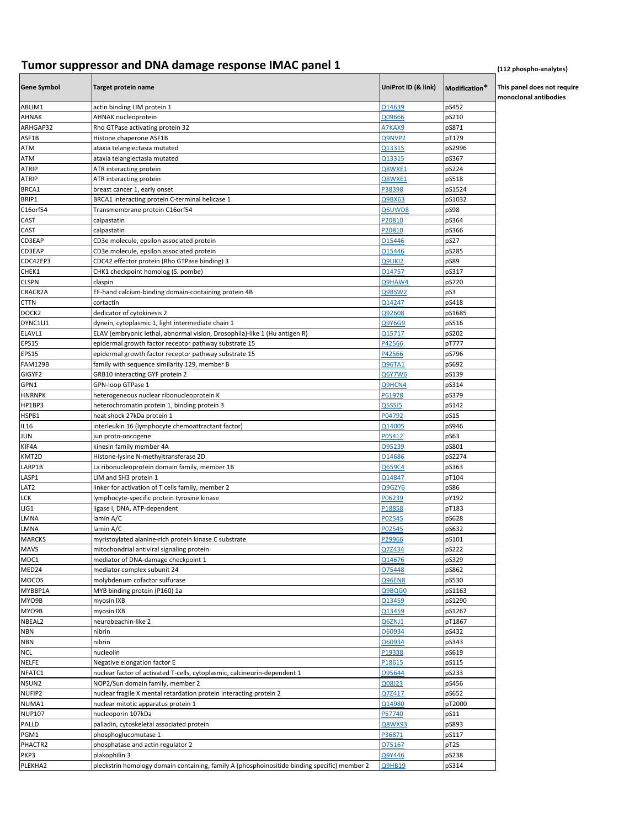## **Tumor suppressor and DNA damage response IMAC panel 1** *(112 phospho-analytes) (112 phospho-analytes)*

| <b>Gene Symbol</b> | <b>Target protein name</b>                                                                   | UniProt ID (& link) | Modification*  | This panel does not require<br>monoclonal antibodies |
|--------------------|----------------------------------------------------------------------------------------------|---------------------|----------------|------------------------------------------------------|
| ABLIM1             | actin binding LIM protein 1                                                                  | 014639              | pS452          |                                                      |
| AHNAK              | AHNAK nucleoprotein                                                                          | 209666              | pS210          |                                                      |
| ARHGAP32           | Rho GTPase activating protein 32                                                             | A7KAX9              | pS871          |                                                      |
| ASF1B              | Histone chaperone ASF1B                                                                      | Q9NVP2              | pT179          |                                                      |
| ATM                | ataxia telangiectasia mutated                                                                | Q13315              | pS2996         |                                                      |
| ATM                | ataxia telangiectasia mutated                                                                | Q13315              | pS367          |                                                      |
| <b>ATRIP</b>       | ATR interacting protein                                                                      | Q8WXE1              | pS224          |                                                      |
| <b>ATRIP</b>       | ATR interacting protein                                                                      | Q8WXE1              | pS518          |                                                      |
| BRCA1              | breast cancer 1, early onset                                                                 | P38398              | pS1524         |                                                      |
| BRIP1<br>C16orf54  | BRCA1 interacting protein C-terminal helicase 1                                              | Q9BX63              | pS1032         |                                                      |
| CAST               | Transmembrane protein C16orf54                                                               | Q6UWD8<br>P20810    | pS98<br>pS364  |                                                      |
| CAST               | calpastatin<br>calpastatin                                                                   | P20810              | pS366          |                                                      |
| CD3EAP             | CD3e molecule, epsilon associated protein                                                    | 015446              | pS27           |                                                      |
| CD3EAP             | CD3e molecule, epsilon associated protein                                                    | 015446              | pS285          |                                                      |
| CDC42EP3           | CDC42 effector protein (Rho GTPase binding) 3                                                | Q9UKI2              | pS89           |                                                      |
| CHEK1              | CHK1 checkpoint homolog (S. pombe)                                                           | 014757              | pS317          |                                                      |
| <b>CLSPN</b>       | claspin                                                                                      | Q9HAW4              | pS720          |                                                      |
| CRACR2A            | EF-hand calcium-binding domain-containing protein 4B                                         | Q9BSW2              | pS3            |                                                      |
| CTTN               | cortactin                                                                                    | 014247              | pS418          |                                                      |
| DOCK2              | dedicator of cytokinesis 2                                                                   | Q92608              | pS1685         |                                                      |
| DYNC1LI1           | dynein, cytoplasmic 1, light intermediate chain 1                                            | Q9Y6G9              | pS516          |                                                      |
| ELAVL1             | ELAV (embryonic lethal, abnormal vision, Drosophila)-like 1 (Hu antigen R)                   | Q15717              | pS202          |                                                      |
| <b>EPS15</b>       | epidermal growth factor receptor pathway substrate 15                                        | P42566              | pT777          |                                                      |
| <b>EPS15</b>       | epidermal growth factor receptor pathway substrate 15                                        | P42566              | pS796          |                                                      |
| <b>FAM129B</b>     | family with sequence similarity 129, member B                                                | <b>Q96TA1</b>       | pS692          |                                                      |
| GIGYF2             | GRB10 interacting GYF protein 2                                                              | Q6Y7W6              | pS139          |                                                      |
| GPN1               | GPN-loop GTPase 1                                                                            | Q9HCN4              | pS314          |                                                      |
| <b>HNRNPK</b>      | heterogeneous nuclear ribonucleoprotein K                                                    | P61978              | pS379          |                                                      |
| HP1BP3             | heterochromatin protein 1, binding protein 3                                                 | <b>Q5SSJ5</b>       | pS142          |                                                      |
| HSPB1              | heat shock 27kDa protein 1                                                                   | P04792              | pS15           |                                                      |
| IL16               | interleukin 16 (lymphocyte chemoattractant factor)                                           | Q14005              | pS946          |                                                      |
| JUN                | jun proto-oncogene                                                                           | P05412              | pS63           |                                                      |
| KIF4A              | kinesin family member 4A                                                                     | 095239              | pS801          |                                                      |
| KMT2D              | Histone-lysine N-methyltransferase 2D                                                        | 014686              | pS2274         |                                                      |
| LARP1B             | La ribonucleoprotein domain family, member 1B                                                | Q659C4              | pS363          |                                                      |
| LASP1              | LIM and SH3 protein 1                                                                        | Q14847              | pT104          |                                                      |
| LAT <sub>2</sub>   | linker for activation of T cells family, member 2                                            | Q9GZY6              | pS86           |                                                      |
| LCK                | lymphocyte-specific protein tyrosine kinase                                                  | P06239              | pY192          |                                                      |
| LIG1               | ligase I, DNA, ATP-dependent                                                                 | P18858              | pT183          |                                                      |
| LMNA               | lamin A/C                                                                                    | P02545              | pS628          |                                                      |
| LMNA               | lamin A/C                                                                                    | P02545              | pS632          |                                                      |
| <b>MARCKS</b>      | myristoylated alanine-rich protein kinase C substrate                                        | P29966              | pS101          |                                                      |
| <b>MAVS</b>        | mitochondrial antiviral signaling protein                                                    | Q7Z434              | pS222          |                                                      |
| MDC1<br>MED24      | mediator of DNA-damage checkpoint 1<br>mediator complex subunit 24                           | Q14676<br>075448    | pS329<br>pS862 |                                                      |
| MOCOS              | molybdenum cofactor sulfurase                                                                | <b>Q96EN8</b>       | pS530          |                                                      |
| MYBBP1A            | MYB binding protein (P160) 1a                                                                | Q9BQG0              | pS1163         |                                                      |
| MYO9B              | myosin IXB                                                                                   | Q13459              | pS1290         |                                                      |
| MYO9B              | myosin IXB                                                                                   | Q13459              | pS1267         |                                                      |
| NBEAL2             | neurobeachin-like 2                                                                          | Q6ZNJ1              | pT1867         |                                                      |
| <b>NBN</b>         | nibrin                                                                                       | 060934              | pS432          |                                                      |
| NBN                | nibrin                                                                                       | 060934              | pS343          |                                                      |
| NCL                | nucleolin                                                                                    | P19338              | pS619          |                                                      |
| <b>NELFE</b>       | Negative elongation factor E                                                                 | P18615              | pS115          |                                                      |
| NFATC1             | nuclear factor of activated T-cells, cytoplasmic, calcineurin-dependent 1                    | 095644              | pS233          |                                                      |
| NSUN2              | NOP2/Sun domain family, member 2                                                             | Q08J23              | pS456          |                                                      |
| NUFIP2             | nuclear fragile X mental retardation protein interacting protein 2                           | Q7Z417              | pS652          |                                                      |
| NUMA1              | nuclear mitotic apparatus protein 1                                                          | Q14980              | pT2000         |                                                      |
| <b>NUP107</b>      | nucleoporin 107kDa                                                                           | P57740              | pS11           |                                                      |
| PALLD              | palladin, cytoskeletal associated protein                                                    | Q8WX93              | pS893          |                                                      |
| PGM1               | phosphoglucomutase 1                                                                         | P36871              | pS117          |                                                      |
| PHACTR2            | phosphatase and actin regulator 2                                                            | 075167              | pT25           |                                                      |
| PKP3               | plakophilin 3                                                                                | Q9Y446              | pS238          |                                                      |
| PLEKHA2            | pleckstrin homology domain containing, family A (phosphoinositide binding specific) member 2 | <b>Q9HB19</b>       | pS314          |                                                      |